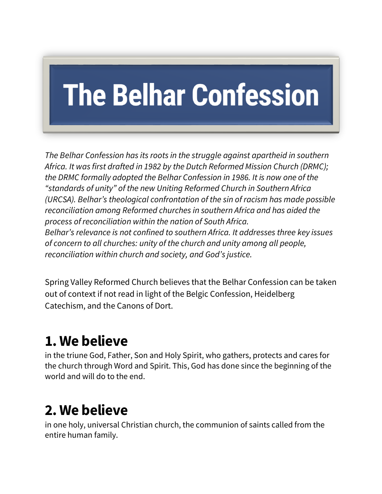# **The Belhar Confession**

*The Belhar Confession has its roots in the struggle against apartheid in southern Africa. It was first drafted in 1982 by the Dutch Reformed Mission Church (DRMC); the DRMC formally adopted the Belhar Confession in 1986. It is now one of the "standards of unity" of the new Uniting Reformed Church in Southern Africa (URCSA). Belhar's theological confrontation of the sin of racism has made possible reconciliation among Reformed churches in southern Africa and has aided the process of reconciliation within the nation of South Africa. Belhar's relevance is not confined to southern Africa. It addresses three key issues of concern to all churches: unity of the church and unity among all people, reconciliation within church and society, and God's justice.*

Spring Valley Reformed Church believes that the Belhar Confession can be taken out of context if not read in light of the Belgic Confession, Heidelberg Catechism, and the Canons of Dort.

## **1. We believe**

in the triune God, Father, Son and Holy Spirit, who gathers, protects and cares for the church through Word and Spirit. This, God has done since the beginning of the world and will do to the end.

# **2. We believe**

in one holy, universal Christian church, the communion of saints called from the entire human family.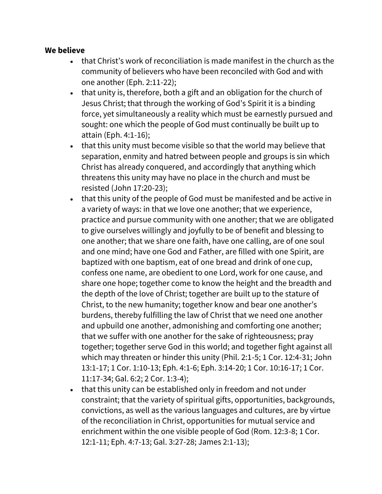#### **We believe**

- that Christ's work of reconciliation is made manifest in the church as the community of believers who have been reconciled with God and with one another (Eph. 2:11-22);
- that unity is, therefore, both a gift and an obligation for the church of Jesus Christ; that through the working of God's Spirit it is a binding force, yet simultaneously a reality which must be earnestly pursued and sought: one which the people of God must continually be built up to attain (Eph. 4:1-16);
- that this unity must become visible so that the world may believe that separation, enmity and hatred between people and groups is sin which Christ has already conquered, and accordingly that anything which threatens this unity may have no place in the church and must be resisted (John 17:20-23);
- that this unity of the people of God must be manifested and be active in a variety of ways: in that we love one another; that we experience, practice and pursue community with one another; that we are obligated to give ourselves willingly and joyfully to be of benefit and blessing to one another; that we share one faith, have one calling, are of one soul and one mind; have one God and Father, are filled with one Spirit, are baptized with one baptism, eat of one bread and drink of one cup, confess one name, are obedient to one Lord, work for one cause, and share one hope; together come to know the height and the breadth and the depth of the love of Christ; together are built up to the stature of Christ, to the new humanity; together know and bear one another's burdens, thereby fulfilling the law of Christ that we need one another and upbuild one another, admonishing and comforting one another; that we suffer with one another for the sake of righteousness; pray together; together serve God in this world; and together fight against all which may threaten or hinder this unity (Phil. 2:1-5; 1 Cor. 12:4-31; John 13:1-17; 1 Cor. 1:10-13; Eph. 4:1-6; Eph. 3:14-20; 1 Cor. 10:16-17; 1 Cor. 11:17-34; Gal. 6:2; 2 Cor. 1:3-4);
- that this unity can be established only in freedom and not under constraint; that the variety of spiritual gifts, opportunities, backgrounds, convictions, as well as the various languages and cultures, are by virtue of the reconciliation in Christ, opportunities for mutual service and enrichment within the one visible people of God (Rom. 12:3-8; 1 Cor. 12:1-11; Eph. 4:7-13; Gal. 3:27-28; James 2:1-13);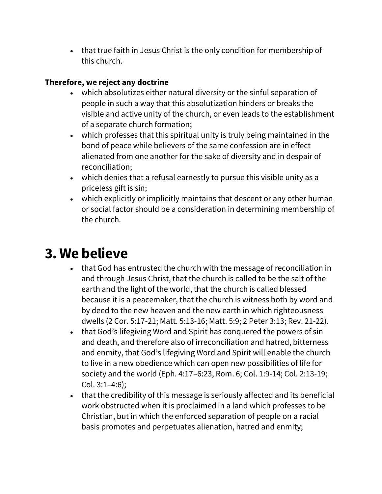• that true faith in Jesus Christ is the only condition for membership of this church.

#### **Therefore, we reject any doctrine**

- which absolutizes either natural diversity or the sinful separation of people in such a way that this absolutization hinders or breaks the visible and active unity of the church, or even leads to the establishment of a separate church formation;
- which professes that this spiritual unity is truly being maintained in the bond of peace while believers of the same confession are in effect alienated from one another for the sake of diversity and in despair of reconciliation;
- which denies that a refusal earnestly to pursue this visible unity as a priceless gift is sin;
- which explicitly or implicitly maintains that descent or any other human or social factor should be a consideration in determining membership of the church.

## **3. We believe**

- that God has entrusted the church with the message of reconciliation in and through Jesus Christ, that the church is called to be the salt of the earth and the light of the world, that the church is called blessed because it is a peacemaker, that the church is witness both by word and by deed to the new heaven and the new earth in which righteousness dwells (2 Cor. 5:17-21; Matt. 5:13-16; Matt. 5:9; 2 Peter 3:13; Rev. 21-22).
- that God's lifegiving Word and Spirit has conquered the powers of sin and death, and therefore also of irreconciliation and hatred, bitterness and enmity, that God's lifegiving Word and Spirit will enable the church to live in a new obedience which can open new possibilities of life for society and the world (Eph. 4:17–6:23, Rom. 6; Col. 1:9-14; Col. 2:13-19; Col. 3:1–4:6);
- that the credibility of this message is seriously affected and its beneficial work obstructed when it is proclaimed in a land which professes to be Christian, but in which the enforced separation of people on a racial basis promotes and perpetuates alienation, hatred and enmity;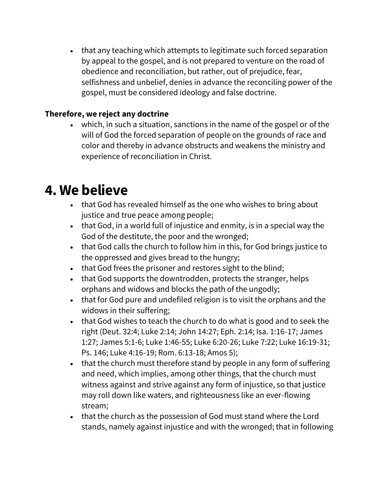• that any teaching which attempts to legitimate such forced separation by appeal to the gospel, and is not prepared to venture on the road of obedience and reconciliation, but rather, out of prejudice, fear, selfishness and unbelief, denies in advance the reconciling power of the gospel, must be considered ideology and false doctrine.

#### **Therefore, we reject any doctrine**

• which, in such a situation, sanctions in the name of the gospel or of the will of God the forced separation of people on the grounds of race and color and thereby in advance obstructs and weakens the ministry and experience of reconciliation in Christ.

## **4. We believe**

- that God has revealed himself as the one who wishes to bring about justice and true peace among people;
- that God, in a world full of injustice and enmity, is in a special way the God of the destitute, the poor and the wronged;
- that God calls the church to follow him in this, for God brings justice to the oppressed and gives bread to the hungry;
- that God frees the prisoner and restores sight to the blind;
- that God supports the downtrodden, protects the stranger, helps orphans and widows and blocks the path of the ungodly;
- that for God pure and undefiled religion is to visit the orphans and the widows in their suffering;
- that God wishes to teach the church to do what is good and to seek the right (Deut. 32:4; Luke 2:14; John 14:27; Eph. 2:14; Isa. 1:16-17; James 1:27; James 5:1-6; Luke 1:46-55; Luke 6:20-26; Luke 7:22; Luke 16:19-31; Ps. 146; Luke 4:16-19; Rom. 6:13-18; Amos 5);
- that the church must therefore stand by people in any form of suffering and need, which implies, among other things, that the church must witness against and strive against any form of injustice, so that justice may roll down like waters, and righteousness like an ever-flowing stream;
- that the church as the possession of God must stand where the Lord stands, namely against injustice and with the wronged; that in following